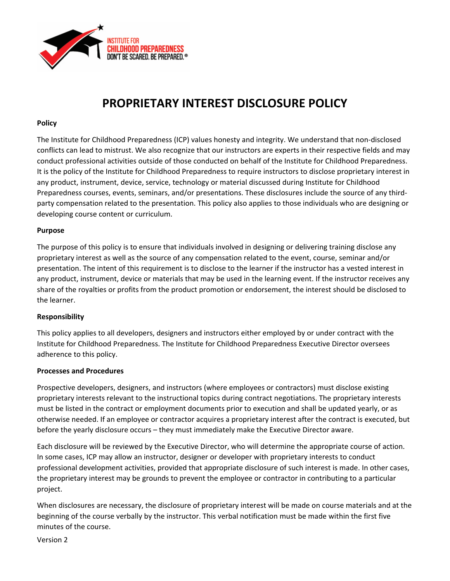

# **PROPRIETARY INTEREST DISCLOSURE POLICY**

## **Policy**

The Institute for Childhood Preparedness (ICP) values honesty and integrity. We understand that non‐disclosed conflicts can lead to mistrust. We also recognize that our instructors are experts in their respective fields and may conduct professional activities outside of those conducted on behalf of the Institute for Childhood Preparedness. It is the policy of the Institute for Childhood Preparedness to require instructors to disclose proprietary interest in any product, instrument, device, service, technology or material discussed during Institute for Childhood Preparedness courses, events, seminars, and/or presentations. These disclosures include the source of any third‐ party compensation related to the presentation. This policy also applies to those individuals who are designing or developing course content or curriculum.

## **Purpose**

The purpose of this policy is to ensure that individuals involved in designing or delivering training disclose any proprietary interest as well as the source of any compensation related to the event, course, seminar and/or presentation. The intent of this requirement is to disclose to the learner if the instructor has a vested interest in any product, instrument, device or materials that may be used in the learning event. If the instructor receives any share of the royalties or profits from the product promotion or endorsement, the interest should be disclosed to the learner.

# **Responsibility**

This policy applies to all developers, designers and instructors either employed by or under contract with the Institute for Childhood Preparedness. The Institute for Childhood Preparedness Executive Director oversees adherence to this policy.

## **Processes and Procedures**

Prospective developers, designers, and instructors (where employees or contractors) must disclose existing proprietary interests relevant to the instructional topics during contract negotiations. The proprietary interests must be listed in the contract or employment documents prior to execution and shall be updated yearly, or as otherwise needed. If an employee or contractor acquires a proprietary interest after the contract is executed, but before the yearly disclosure occurs – they must immediately make the Executive Director aware.

Each disclosure will be reviewed by the Executive Director, who will determine the appropriate course of action. In some cases, ICP may allow an instructor, designer or developer with proprietary interests to conduct professional development activities, provided that appropriate disclosure of such interest is made. In other cases, the proprietary interest may be grounds to prevent the employee or contractor in contributing to a particular project.

When disclosures are necessary, the disclosure of proprietary interest will be made on course materials and at the beginning of the course verbally by the instructor. This verbal notification must be made within the first five minutes of the course.

Version 2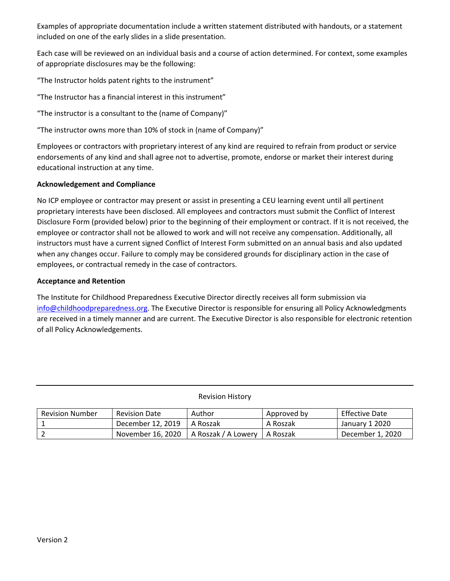Examples of appropriate documentation include a written statement distributed with handouts, or a statement included on one of the early slides in a slide presentation.

Each case will be reviewed on an individual basis and a course of action determined. For context, some examples of appropriate disclosures may be the following:

"The Instructor holds patent rights to the instrument"

"The Instructor has a financial interest in this instrument"

"The instructor is a consultant to the (name of Company)"

"The instructor owns more than 10% of stock in (name of Company)"

Employees or contractors with proprietary interest of any kind are required to refrain from product or service endorsements of any kind and shall agree not to advertise, promote, endorse or market their interest during educational instruction at any time.

# **Acknowledgement and Compliance**

No ICP employee or contractor may present or assist in presenting a CEU learning event until all pertinent proprietary interests have been disclosed. All employees and contractors must submit the Conflict of Interest Disclosure Form (provided below) prior to the beginning of their employment or contract. If it is not received, the employee or contractor shall not be allowed to work and will not receive any compensation. Additionally, all instructors must have a current signed Conflict of Interest Form submitted on an annual basis and also updated when any changes occur. Failure to comply may be considered grounds for disciplinary action in the case of employees, or contractual remedy in the case of contractors.

## **Acceptance and Retention**

The Institute for Childhood Preparedness Executive Director directly receives all form submission via info@childhoodpreparedness.org. The Executive Director is responsible for ensuring all Policy Acknowledgments are received in a timely manner and are current. The Executive Director is also responsible for electronic retention of all Policy Acknowledgements.

Revision History

| <b>Revision Number</b> | <b>Revision Date</b> | Author              | Approved by | <b>Effective Date</b> |
|------------------------|----------------------|---------------------|-------------|-----------------------|
|                        | December 12, 2019    | A Roszak            | A Roszak    | January 1 2020        |
|                        | November 16, 2020    | A Roszak / A Lowery | A Roszak    | December 1, 2020      |